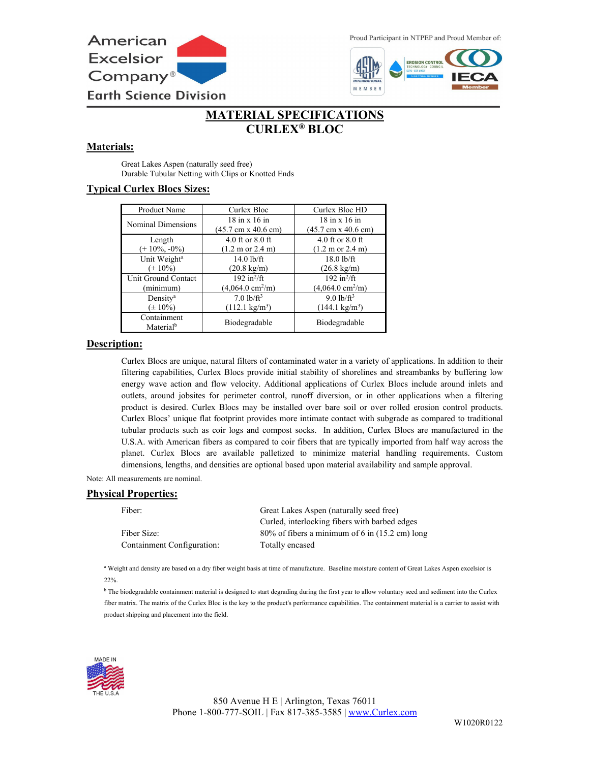

Proud Participant in NTPEP and Proud Member of:



# **MATERIAL SPECIFICATIONS CURLEX® BLOC**

# **Materials:**

Great Lakes Aspen (naturally seed free) Durable Tubular Netting with Clips or Knotted Ends

## **Typical Curlex Blocs Sizes:**

| Product Name             | Curlex Bloc                                | Curlex Bloc HD                             |
|--------------------------|--------------------------------------------|--------------------------------------------|
| Nominal Dimensions       | $18$ in x $16$ in                          | $18$ in x $16$ in                          |
|                          | $(45.7 \text{ cm} \times 40.6 \text{ cm})$ | $(45.7 \text{ cm} \times 40.6 \text{ cm})$ |
| Length                   | 4.0 ft or $8.0$ ft                         | 4.0 ft or $8.0$ ft                         |
| $(+10\%, -0\%)$          | $(1.2 \text{ m or } 2.4 \text{ m})$        | $(1.2 \text{ m or } 2.4 \text{ m})$        |
| Unit Weight <sup>a</sup> | $14.0$ lb/ft                               | $18.0$ lb/ft                               |
| $(\pm 10\%)$             | $(20.8 \text{ kg/m})$                      | $(26.8 \text{ kg/m})$                      |
| Unit Ground Contact      | 192 in $^2$ /ft                            | 192 in $^2$ /ft                            |
| (minimum)                | $(4,064.0 \text{ cm}^2/\text{m})$          | $(4,064.0 \text{ cm}^2/\text{m})$          |
| Density <sup>a</sup>     | $7.0 \frac{\text{lb}}{\text{ft}^3}$        | $9.0$ lb/ft <sup>3</sup>                   |
| $(\pm 10\%)$             | $(112.1 \text{ kg/m}^3)$                   | $(144.1 \text{ kg/m}^3)$                   |
| Containment              | Biodegradable                              | Biodegradable                              |
| Material <sup>b</sup>    |                                            |                                            |

## **Description:**

Curlex Blocs are unique, natural filters of contaminated water in a variety of applications. In addition to their filtering capabilities, Curlex Blocs provide initial stability of shorelines and streambanks by buffering low energy wave action and flow velocity. Additional applications of Curlex Blocs include around inlets and outlets, around jobsites for perimeter control, runoff diversion, or in other applications when a filtering product is desired. Curlex Blocs may be installed over bare soil or over rolled erosion control products. Curlex Blocs' unique flat footprint provides more intimate contact with subgrade as compared to traditional tubular products such as coir logs and compost socks. In addition, Curlex Blocs are manufactured in the U.S.A. with American fibers as compared to coir fibers that are typically imported from half way across the planet. Curlex Blocs are available palletized to minimize material handling requirements. Custom dimensions, lengths, and densities are optional based upon material availability and sample approval.

Note: All measurements are nominal.

#### **Physical Properties:**

| Fiber:                     | Great Lakes Aspen (naturally seed free)           |  |
|----------------------------|---------------------------------------------------|--|
|                            | Curled, interlocking fibers with barbed edges     |  |
| Fiber Size:                | $80\%$ of fibers a minimum of 6 in (15.2 cm) long |  |
| Containment Configuration: | Totally encased                                   |  |

<sup>a</sup> Weight and density are based on a dry fiber weight basis at time of manufacture. Baseline moisture content of Great Lakes Aspen excelsior is 22%.

<sup>b</sup> The biodegradable containment material is designed to start degrading during the first year to allow voluntary seed and sediment into the Curlex fiber matrix. The matrix of the Curlex Bloc is the key to the product's performance capabilities. The containment material is a carrier to assist with product shipping and placement into the field.